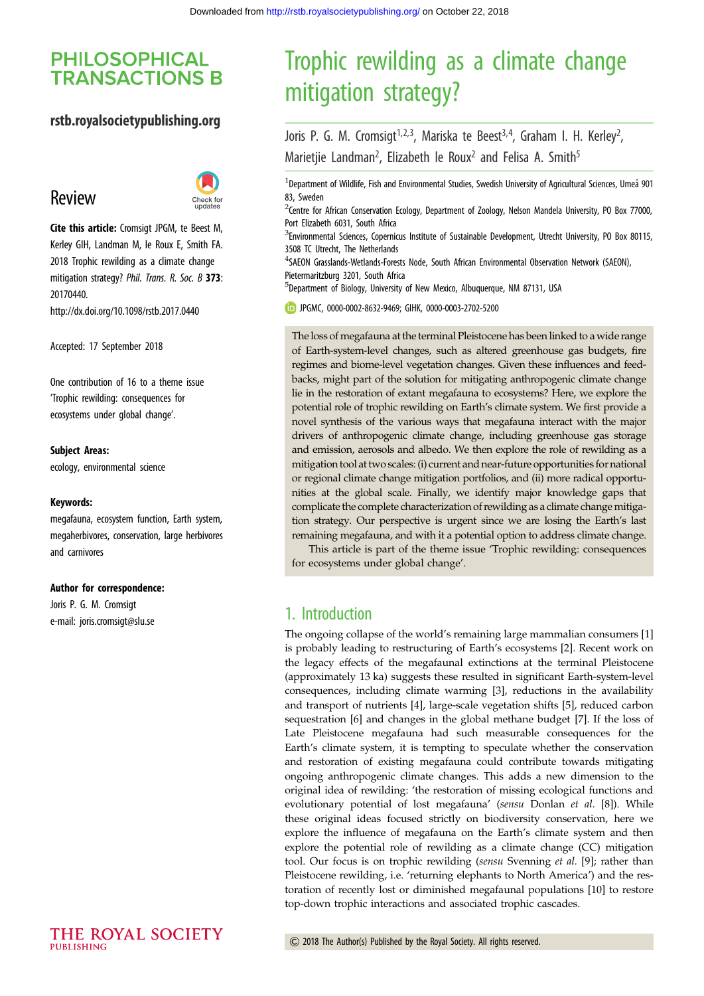# **PHILOSOPHICAL TRANSACTIONS B**

### rstb.royalsocietypublishing.org

# Review



Cite this article: Cromsigt JPGM, te Beest M, Kerley GIH, Landman M, le Roux E, Smith FA. 2018 Trophic rewilding as a climate change mitigation strategy? Phil. Trans. R. Soc. B 373: 20170440. http://dx.doi.org/10.1098/rstb.2017.0440

Accepted: 17 September 2018

One contribution of 16 to a theme issue ['Trophic rewilding: consequences for](http://dx.doi.org/10.1098/rstb/373/1761) [ecosystems under global change'.](http://dx.doi.org/10.1098/rstb/373/1761)

#### Subject Areas:

ecology, environmental science

#### Keywords:

megafauna, ecosystem function, Earth system, megaherbivores, conservation, large herbivores and carnivores

#### Author for correspondence:

Joris P. G. M. Cromsigt e-mail: [joris.cromsigt@slu.se](mailto:joris.cromsigt@slu.se)

# Trophic rewilding as a climate change mitigation strategy?

Joris P. G. M. Cromsigt<sup>1,2,3</sup>, Mariska te Beest<sup>3,4</sup>, Graham I. H. Kerley<sup>2</sup>, ։<br>, Marietjie Landman<sup>2</sup>, Elizabeth le Roux<sup>2</sup> and Felisa A. Smith<sup>5</sup>

<sup>1</sup> Department of Wildlife, Fish and Environmental Studies, Swedish University of Agricultural Sciences, Umeå 901 83, Sweden

<sup>2</sup>Centre for African Conservation Ecology, Department of Zoology, Nelson Mandela University, PO Box 77000, Port Elizabeth 6031, South Africa

<sup>3</sup>Environmental Sciences, Copernicus Institute of Sustainable Development, Utrecht University, PO Box 80115, 3508 TC Utrecht, The Netherlands

4 SAEON Grasslands-Wetlands-Forests Node, South African Environmental Observation Network (SAEON), Pietermaritzburg 3201, South Africa

5 Department of Biology, University of New Mexico, Albuquerque, NM 87131, USA

JPGMC, [0000-0002-8632-9469;](http://orcid.org/0000-0002-8632-9469) GIHK, [0000-0003-2702-5200](http://orcid.org/0000-0003-2702-5200)

The loss of megafauna at the terminal Pleistocene has been linked to a wide range of Earth-system-level changes, such as altered greenhouse gas budgets, fire regimes and biome-level vegetation changes. Given these influences and feedbacks, might part of the solution for mitigating anthropogenic climate change lie in the restoration of extant megafauna to ecosystems? Here, we explore the potential role of trophic rewilding on Earth's climate system. We first provide a novel synthesis of the various ways that megafauna interact with the major drivers of anthropogenic climate change, including greenhouse gas storage and emission, aerosols and albedo. We then explore the role of rewilding as a mitigation tool at two scales: (i) current and near-future opportunities for national or regional climate change mitigation portfolios, and (ii) more radical opportunities at the global scale. Finally, we identify major knowledge gaps that complicate the complete characterization of rewilding as a climate change mitigation strategy. Our perspective is urgent since we are losing the Earth's last remaining megafauna, and with it a potential option to address climate change.

This article is part of the theme issue 'Trophic rewilding: consequences for ecosystems under global change'.

### 1. Introduction

The ongoing collapse of the world's remaining large mammalian consumers [\[1\]](#page-9-0) is probably leading to restructuring of Earth's ecosystems [\[2\]](#page-9-0). Recent work on the legacy effects of the megafaunal extinctions at the terminal Pleistocene (approximately 13 ka) suggests these resulted in significant Earth-system-level consequences, including climate warming [\[3\]](#page-9-0), reductions in the availability and transport of nutrients [\[4\]](#page-9-0), large-scale vegetation shifts [\[5\]](#page-9-0), reduced carbon sequestration [\[6\]](#page-9-0) and changes in the global methane budget [\[7\]](#page-9-0). If the loss of Late Pleistocene megafauna had such measurable consequences for the Earth's climate system, it is tempting to speculate whether the conservation and restoration of existing megafauna could contribute towards mitigating ongoing anthropogenic climate changes. This adds a new dimension to the original idea of rewilding: 'the restoration of missing ecological functions and evolutionary potential of lost megafauna' (sensu Donlan et al. [\[8\]](#page-9-0)). While these original ideas focused strictly on biodiversity conservation, here we explore the influence of megafauna on the Earth's climate system and then explore the potential role of rewilding as a climate change (CC) mitigation tool. Our focus is on trophic rewilding (sensu Svenning et al. [[9](#page-9-0)]; rather than Pleistocene rewilding, i.e. 'returning elephants to North America') and the restoration of recently lost or diminished megafaunal populations [\[10](#page-9-0)] to restore top-down trophic interactions and associated trophic cascades.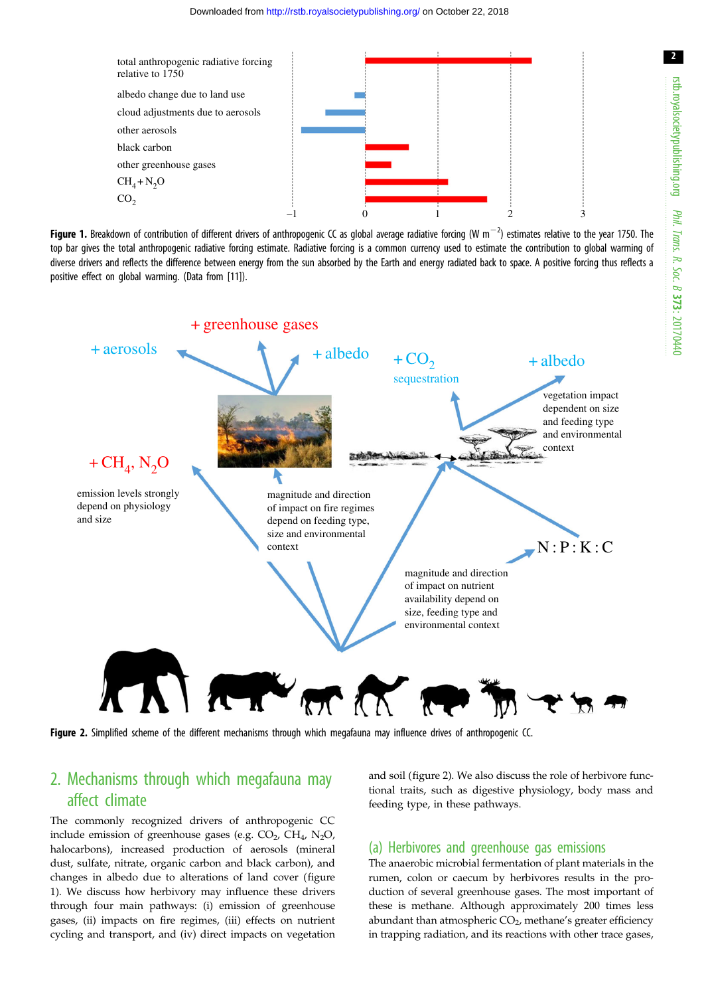<span id="page-1-0"></span>





Figure 2. Simplified scheme of the different mechanisms through which megafauna may influence drives of anthropogenic CC.

# 2. Mechanisms through which megafauna may affect climate

The commonly recognized drivers of anthropogenic CC include emission of greenhouse gases (e.g.  $CO<sub>2</sub>$ ,  $CH<sub>4</sub>$ , N<sub>2</sub>O, halocarbons), increased production of aerosols (mineral dust, sulfate, nitrate, organic carbon and black carbon), and changes in albedo due to alterations of land cover (figure 1). We discuss how herbivory may influence these drivers through four main pathways: (i) emission of greenhouse gases, (ii) impacts on fire regimes, (iii) effects on nutrient cycling and transport, and (iv) direct impacts on vegetation and soil (figure 2). We also discuss the role of herbivore functional traits, such as digestive physiology, body mass and feeding type, in these pathways.

### (a) Herbivores and greenhouse gas emissions

The anaerobic microbial fermentation of plant materials in the rumen, colon or caecum by herbivores results in the production of several greenhouse gases. The most important of these is methane. Although approximately 200 times less abundant than atmospheric  $CO<sub>2</sub>$ , methane's greater efficiency in trapping radiation, and its reactions with other trace gases,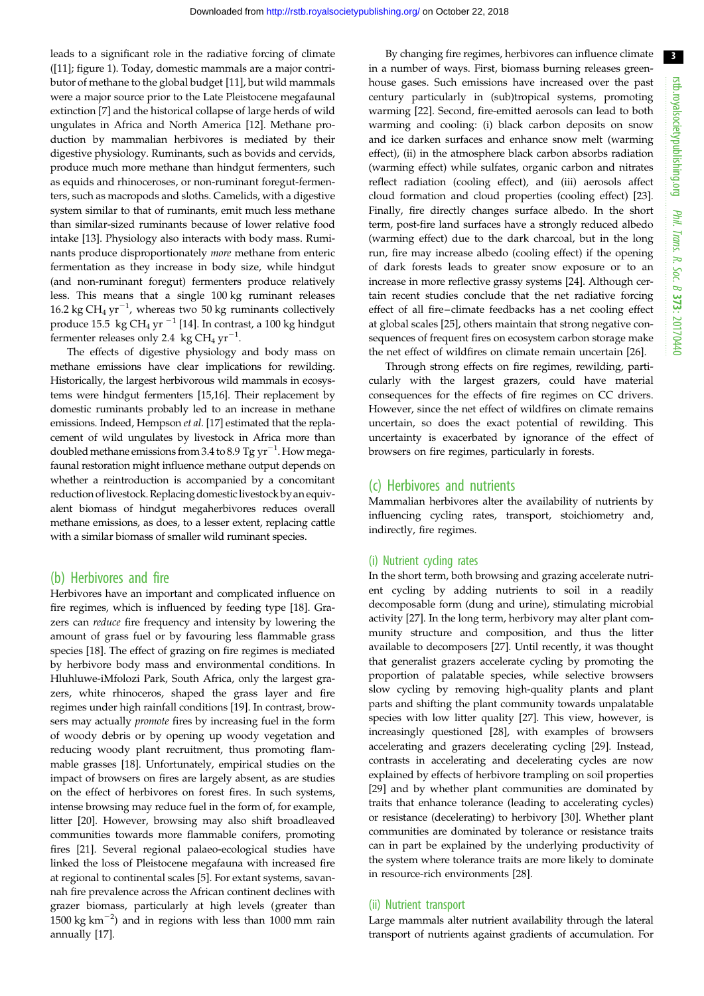leads to a significant role in the radiative forcing of climate ([\[11](#page-9-0)]; [figure 1](#page-1-0)). Today, domestic mammals are a major contributor of methane to the global budget [[11\]](#page-9-0), but wild mammals were a major source prior to the Late Pleistocene megafaunal extinction [\[7\]](#page-9-0) and the historical collapse of large herds of wild ungulates in Africa and North America [[12\]](#page-9-0). Methane production by mammalian herbivores is mediated by their digestive physiology. Ruminants, such as bovids and cervids, produce much more methane than hindgut fermenters, such as equids and rhinoceroses, or non-ruminant foregut-fermenters, such as macropods and sloths. Camelids, with a digestive system similar to that of ruminants, emit much less methane than similar-sized ruminants because of lower relative food intake [\[13](#page-9-0)]. Physiology also interacts with body mass. Ruminants produce disproportionately more methane from enteric fermentation as they increase in body size, while hindgut (and non-ruminant foregut) fermenters produce relatively less. This means that a single 100 kg ruminant releases 16.2 kg CH<sub>4</sub> yr<sup>-1</sup>, whereas two 50 kg ruminants collectively produce 15.5 kg CH<sub>4</sub> yr  $^{-1}$  [\[14](#page-9-0)]. In contrast, a 100 kg hindgut fermenter releases only 2.4  $\ kg\ CH_{4}\ yr^{-1}$ .

The effects of digestive physiology and body mass on methane emissions have clear implications for rewilding. Historically, the largest herbivorous wild mammals in ecosystems were hindgut fermenters [\[15,16\]](#page-9-0). Their replacement by domestic ruminants probably led to an increase in methane emissions. Indeed, Hempson et al. [\[17\]](#page-9-0) estimated that the replacement of wild ungulates by livestock in Africa more than doubled methane emissions from 3.4 to 8.9 Tg  $\rm{yr}^{-1}$ . How megafaunal restoration might influence methane output depends on whether a reintroduction is accompanied by a concomitant reduction of livestock. Replacing domestic livestock by an equivalent biomass of hindgut megaherbivores reduces overall methane emissions, as does, to a lesser extent, replacing cattle with a similar biomass of smaller wild ruminant species.

#### (b) Herbivores and fire

Herbivores have an important and complicated influence on fire regimes, which is influenced by feeding type [\[18](#page-9-0)]. Grazers can reduce fire frequency and intensity by lowering the amount of grass fuel or by favouring less flammable grass species [[18\]](#page-9-0). The effect of grazing on fire regimes is mediated by herbivore body mass and environmental conditions. In Hluhluwe-iMfolozi Park, South Africa, only the largest grazers, white rhinoceros, shaped the grass layer and fire regimes under high rainfall conditions [[19\]](#page-9-0). In contrast, browsers may actually promote fires by increasing fuel in the form of woody debris or by opening up woody vegetation and reducing woody plant recruitment, thus promoting flammable grasses [\[18](#page-9-0)]. Unfortunately, empirical studies on the impact of browsers on fires are largely absent, as are studies on the effect of herbivores on forest fires. In such systems, intense browsing may reduce fuel in the form of, for example, litter [\[20](#page-9-0)]. However, browsing may also shift broadleaved communities towards more flammable conifers, promoting fires [[21\]](#page-9-0). Several regional palaeo-ecological studies have linked the loss of Pleistocene megafauna with increased fire at regional to continental scales [[5](#page-9-0)]. For extant systems, savannah fire prevalence across the African continent declines with grazer biomass, particularly at high levels (greater than 1500 kg  $\text{km}^{-2}$ ) and in regions with less than 1000 mm rain annually [\[17](#page-9-0)].

By changing fire regimes, herbivores can influence climate in a number of ways. First, biomass burning releases greenhouse gases. Such emissions have increased over the past century particularly in (sub)tropical systems, promoting warming [\[22](#page-9-0)]. Second, fire-emitted aerosols can lead to both warming and cooling: (i) black carbon deposits on snow and ice darken surfaces and enhance snow melt (warming effect), (ii) in the atmosphere black carbon absorbs radiation (warming effect) while sulfates, organic carbon and nitrates reflect radiation (cooling effect), and (iii) aerosols affect cloud formation and cloud properties (cooling effect) [[23\]](#page-9-0). Finally, fire directly changes surface albedo. In the short term, post-fire land surfaces have a strongly reduced albedo (warming effect) due to the dark charcoal, but in the long run, fire may increase albedo (cooling effect) if the opening of dark forests leads to greater snow exposure or to an increase in more reflective grassy systems [[24\]](#page-9-0). Although certain recent studies conclude that the net radiative forcing effect of all fire–climate feedbacks has a net cooling effect at global scales [[25\]](#page-9-0), others maintain that strong negative consequences of frequent fires on ecosystem carbon storage make the net effect of wildfires on climate remain uncertain [[26\]](#page-9-0).

Through strong effects on fire regimes, rewilding, particularly with the largest grazers, could have material consequences for the effects of fire regimes on CC drivers. However, since the net effect of wildfires on climate remains uncertain, so does the exact potential of rewilding. This uncertainty is exacerbated by ignorance of the effect of browsers on fire regimes, particularly in forests.

#### (c) Herbivores and nutrients

Mammalian herbivores alter the availability of nutrients by influencing cycling rates, transport, stoichiometry and, indirectly, fire regimes.

#### (i) Nutrient cycling rates

In the short term, both browsing and grazing accelerate nutrient cycling by adding nutrients to soil in a readily decomposable form (dung and urine), stimulating microbial activity [\[27](#page-9-0)]. In the long term, herbivory may alter plant community structure and composition, and thus the litter available to decomposers [\[27](#page-9-0)]. Until recently, it was thought that generalist grazers accelerate cycling by promoting the proportion of palatable species, while selective browsers slow cycling by removing high-quality plants and plant parts and shifting the plant community towards unpalatable species with low litter quality [[27\]](#page-9-0). This view, however, is increasingly questioned [\[28](#page-9-0)], with examples of browsers accelerating and grazers decelerating cycling [\[29](#page-9-0)]. Instead, contrasts in accelerating and decelerating cycles are now explained by effects of herbivore trampling on soil properties [[29\]](#page-9-0) and by whether plant communities are dominated by traits that enhance tolerance (leading to accelerating cycles) or resistance (decelerating) to herbivory [\[30](#page-9-0)]. Whether plant communities are dominated by tolerance or resistance traits can in part be explained by the underlying productivity of the system where tolerance traits are more likely to dominate in resource-rich environments [\[28](#page-9-0)].

#### (ii) Nutrient transport

Large mammals alter nutrient availability through the lateral transport of nutrients against gradients of accumulation. For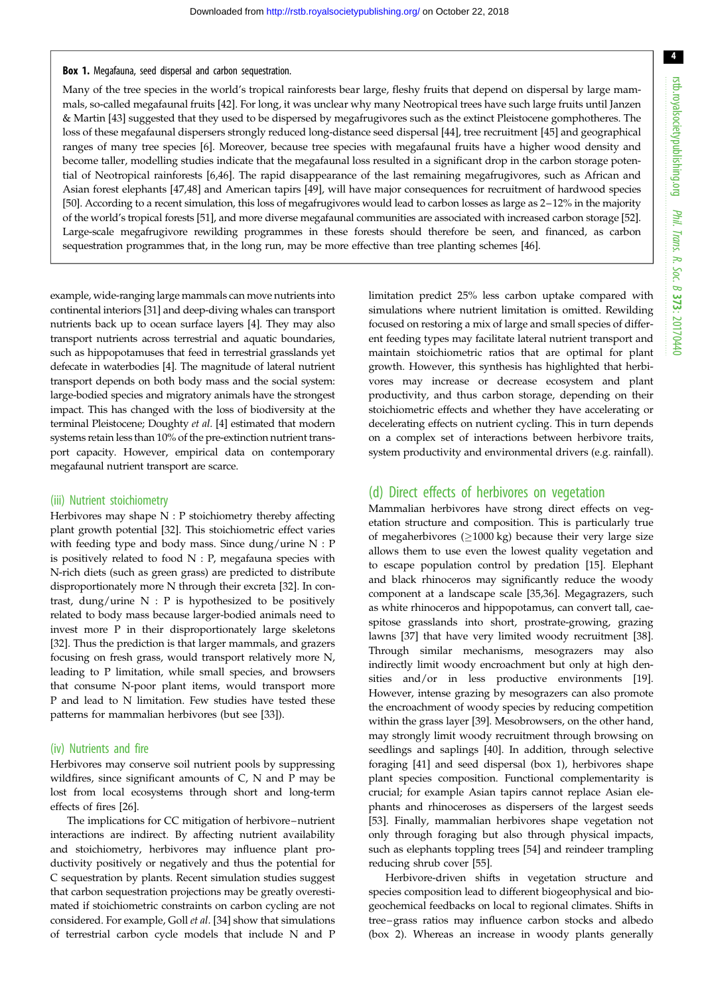### <span id="page-3-0"></span>Box 1. Megafauna, seed dispersal and carbon sequestration.

Many of the tree species in the world's tropical rainforests bear large, fleshy fruits that depend on dispersal by large mammals, so-called megafaunal fruits [[42\]](#page-10-0). For long, it was unclear why many Neotropical trees have such large fruits until Janzen & Martin [[43](#page-10-0)] suggested that they used to be dispersed by megafrugivores such as the extinct Pleistocene gomphotheres. The loss of these megafaunal dispersers strongly reduced long-distance seed dispersal [\[44](#page-10-0)], tree recruitment [\[45](#page-10-0)] and geographical ranges of many tree species [\[6\]](#page-9-0). Moreover, because tree species with megafaunal fruits have a higher wood density and become taller, modelling studies indicate that the megafaunal loss resulted in a significant drop in the carbon storage potential of Neotropical rainforests [[6](#page-9-0)[,46](#page-10-0)]. The rapid disappearance of the last remaining megafrugivores, such as African and Asian forest elephants [[47,48](#page-10-0)] and American tapirs [\[49](#page-10-0)], will have major consequences for recruitment of hardwood species [[50\]](#page-10-0). According to a recent simulation, this loss of megafrugivores would lead to carbon losses as large as 2–12% in the majority of the world's tropical forests [\[51\]](#page-10-0), and more diverse megafaunal communities are associated with increased carbon storage [\[52](#page-10-0)]. Large-scale megafrugivore rewilding programmes in these forests should therefore be seen, and financed, as carbon sequestration programmes that, in the long run, may be more effective than tree planting schemes [\[46](#page-10-0)].

example, wide-ranging large mammals can move nutrients into continental interiors [\[31](#page-9-0)] and deep-diving whales can transport nutrients back up to ocean surface layers [\[4\]](#page-9-0). They may also transport nutrients across terrestrial and aquatic boundaries, such as hippopotamuses that feed in terrestrial grasslands yet defecate in waterbodies [\[4\]](#page-9-0). The magnitude of lateral nutrient transport depends on both body mass and the social system: large-bodied species and migratory animals have the strongest impact. This has changed with the loss of biodiversity at the terminal Pleistocene; Doughty et al. [\[4\]](#page-9-0) estimated that modern systems retain less than 10% of the pre-extinction nutrient transport capacity. However, empirical data on contemporary megafaunal nutrient transport are scarce.

#### (iii) Nutrient stoichiometry

Herbivores may shape N : P stoichiometry thereby affecting plant growth potential [\[32](#page-9-0)]. This stoichiometric effect varies with feeding type and body mass. Since dung/urine N : P is positively related to food  $N : P$ , megafauna species with N-rich diets (such as green grass) are predicted to distribute disproportionately more N through their excreta [\[32](#page-9-0)]. In contrast, dung/urine N : P is hypothesized to be positively related to body mass because larger-bodied animals need to invest more P in their disproportionately large skeletons [\[32](#page-9-0)]. Thus the prediction is that larger mammals, and grazers focusing on fresh grass, would transport relatively more N, leading to P limitation, while small species, and browsers that consume N-poor plant items, would transport more P and lead to N limitation. Few studies have tested these patterns for mammalian herbivores (but see [[33\]](#page-9-0)).

#### (iv) Nutrients and fire

Herbivores may conserve soil nutrient pools by suppressing wildfires, since significant amounts of C, N and P may be lost from local ecosystems through short and long-term effects of fires [[26\]](#page-9-0).

The implications for CC mitigation of herbivore–nutrient interactions are indirect. By affecting nutrient availability and stoichiometry, herbivores may influence plant productivity positively or negatively and thus the potential for C sequestration by plants. Recent simulation studies suggest that carbon sequestration projections may be greatly overestimated if stoichiometric constraints on carbon cycling are not considered. For example, Goll et al. [\[34](#page-9-0)] show that simulations of terrestrial carbon cycle models that include N and P

limitation predict 25% less carbon uptake compared with simulations where nutrient limitation is omitted. Rewilding focused on restoring a mix of large and small species of different feeding types may facilitate lateral nutrient transport and maintain stoichiometric ratios that are optimal for plant growth. However, this synthesis has highlighted that herbivores may increase or decrease ecosystem and plant productivity, and thus carbon storage, depending on their stoichiometric effects and whether they have accelerating or decelerating effects on nutrient cycling. This in turn depends on a complex set of interactions between herbivore traits, system productivity and environmental drivers (e.g. rainfall).

### (d) Direct effects of herbivores on vegetation

Mammalian herbivores have strong direct effects on vegetation structure and composition. This is particularly true of megaherbivores ( $\geq$ 1000 kg) because their very large size allows them to use even the lowest quality vegetation and to escape population control by predation [\[15](#page-9-0)]. Elephant and black rhinoceros may significantly reduce the woody component at a landscape scale [\[35](#page-10-0),[36\]](#page-10-0). Megagrazers, such as white rhinoceros and hippopotamus, can convert tall, caespitose grasslands into short, prostrate-growing, grazing lawns [\[37](#page-10-0)] that have very limited woody recruitment [[38\]](#page-10-0). Through similar mechanisms, mesograzers may also indirectly limit woody encroachment but only at high densities and/or in less productive environments [[19\]](#page-9-0). However, intense grazing by mesograzers can also promote the encroachment of woody species by reducing competition within the grass layer [[39](#page-10-0)]. Mesobrowsers, on the other hand, may strongly limit woody recruitment through browsing on seedlings and saplings [\[40](#page-10-0)]. In addition, through selective foraging [\[41](#page-10-0)] and seed dispersal (box 1), herbivores shape plant species composition. Functional complementarity is crucial; for example Asian tapirs cannot replace Asian elephants and rhinoceroses as dispersers of the largest seeds [[53\]](#page-10-0). Finally, mammalian herbivores shape vegetation not only through foraging but also through physical impacts, such as elephants toppling trees [\[54](#page-10-0)] and reindeer trampling reducing shrub cover [\[55](#page-10-0)].

Herbivore-driven shifts in vegetation structure and species composition lead to different biogeophysical and biogeochemical feedbacks on local to regional climates. Shifts in tree –grass ratios may influence carbon stocks and albedo ([box 2\)](#page-4-0). Whereas an increase in woody plants generally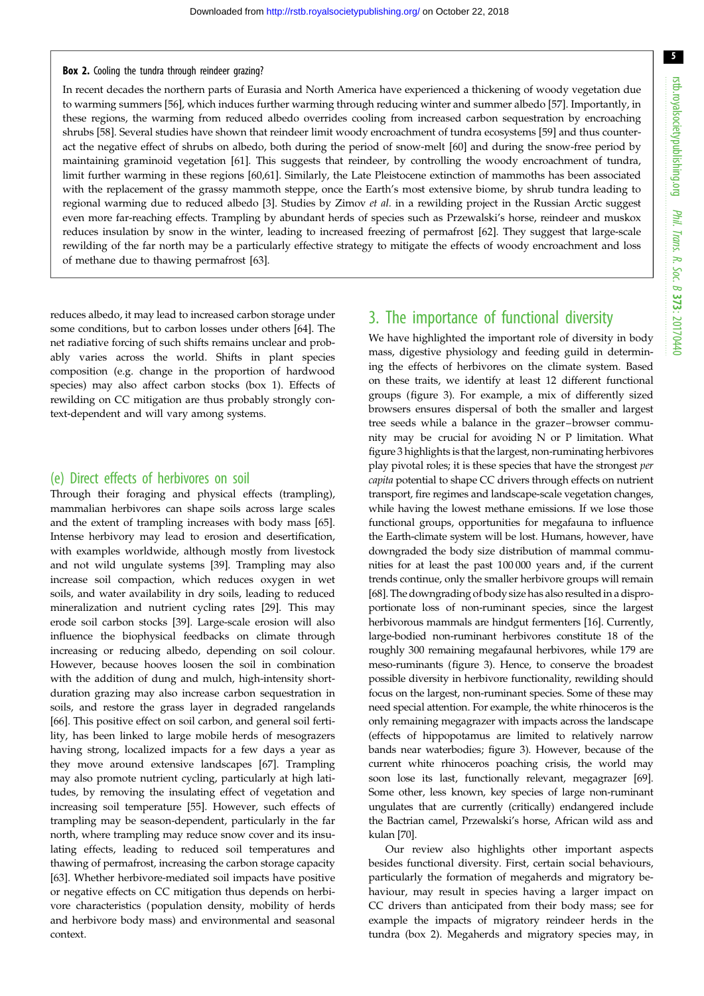#### <span id="page-4-0"></span>Box 2. Cooling the tundra through reindeer grazing?

In recent decades the northern parts of Eurasia and North America have experienced a thickening of woody vegetation due to warming summers [\[56](#page-10-0)], which induces further warming through reducing winter and summer albedo [[57\]](#page-10-0). Importantly, in these regions, the warming from reduced albedo overrides cooling from increased carbon sequestration by encroaching shrubs [[58\]](#page-10-0). Several studies have shown that reindeer limit woody encroachment of tundra ecosystems [[59\]](#page-10-0) and thus counteract the negative effect of shrubs on albedo, both during the period of snow-melt [[60\]](#page-10-0) and during the snow-free period by maintaining graminoid vegetation [\[61](#page-10-0)]. This suggests that reindeer, by controlling the woody encroachment of tundra, limit further warming in these regions [[60,61\]](#page-10-0). Similarly, the Late Pleistocene extinction of mammoths has been associated with the replacement of the grassy mammoth steppe, once the Earth's most extensive biome, by shrub tundra leading to regional warming due to reduced albedo [[3](#page-9-0)]. Studies by Zimov et al. in a rewilding project in the Russian Arctic suggest even more far-reaching effects. Trampling by abundant herds of species such as Przewalski's horse, reindeer and muskox reduces insulation by snow in the winter, leading to increased freezing of permafrost [[62\]](#page-10-0). They suggest that large-scale rewilding of the far north may be a particularly effective strategy to mitigate the effects of woody encroachment and loss of methane due to thawing permafrost [\[63](#page-10-0)].

reduces albedo, it may lead to increased carbon storage under some conditions, but to carbon losses under others [[64\]](#page-10-0). The net radiative forcing of such shifts remains unclear and probably varies across the world. Shifts in plant species composition (e.g. change in the proportion of hardwood species) may also affect carbon stocks ([box 1](#page-3-0)). Effects of rewilding on CC mitigation are thus probably strongly context-dependent and will vary among systems.

#### (e) Direct effects of herbivores on soil

Through their foraging and physical effects (trampling), mammalian herbivores can shape soils across large scales and the extent of trampling increases with body mass [\[65](#page-10-0)]. Intense herbivory may lead to erosion and desertification, with examples worldwide, although mostly from livestock and not wild ungulate systems [[39\]](#page-10-0). Trampling may also increase soil compaction, which reduces oxygen in wet soils, and water availability in dry soils, leading to reduced mineralization and nutrient cycling rates [[29\]](#page-9-0). This may erode soil carbon stocks [[39\]](#page-10-0). Large-scale erosion will also influence the biophysical feedbacks on climate through increasing or reducing albedo, depending on soil colour. However, because hooves loosen the soil in combination with the addition of dung and mulch, high-intensity shortduration grazing may also increase carbon sequestration in soils, and restore the grass layer in degraded rangelands [\[66](#page-10-0)]. This positive effect on soil carbon, and general soil fertility, has been linked to large mobile herds of mesograzers having strong, localized impacts for a few days a year as they move around extensive landscapes [[67\]](#page-10-0). Trampling may also promote nutrient cycling, particularly at high latitudes, by removing the insulating effect of vegetation and increasing soil temperature [\[55](#page-10-0)]. However, such effects of trampling may be season-dependent, particularly in the far north, where trampling may reduce snow cover and its insulating effects, leading to reduced soil temperatures and thawing of permafrost, increasing the carbon storage capacity [\[63](#page-10-0)]. Whether herbivore-mediated soil impacts have positive or negative effects on CC mitigation thus depends on herbivore characteristics (population density, mobility of herds and herbivore body mass) and environmental and seasonal context.

# 3. The importance of functional diversity

We have highlighted the important role of diversity in body mass, digestive physiology and feeding guild in determining the effects of herbivores on the climate system. Based on these traits, we identify at least 12 different functional groups ([figure 3\)](#page-5-0). For example, a mix of differently sized browsers ensures dispersal of both the smaller and largest tree seeds while a balance in the grazer–browser community may be crucial for avoiding N or P limitation. What [figure 3](#page-5-0) highlights is that the largest, non-ruminating herbivores play pivotal roles; it is these species that have the strongest per capita potential to shape CC drivers through effects on nutrient transport, fire regimes and landscape-scale vegetation changes, while having the lowest methane emissions. If we lose those functional groups, opportunities for megafauna to influence the Earth-climate system will be lost. Humans, however, have downgraded the body size distribution of mammal communities for at least the past 100 000 years and, if the current trends continue, only the smaller herbivore groups will remain [[68](#page-10-0)]. The downgrading of body size has also resulted in a disproportionate loss of non-ruminant species, since the largest herbivorous mammals are hindgut fermenters [[16\]](#page-9-0). Currently, large-bodied non-ruminant herbivores constitute 18 of the roughly 300 remaining megafaunal herbivores, while 179 are meso-ruminants ([figure 3\)](#page-5-0). Hence, to conserve the broadest possible diversity in herbivore functionality, rewilding should focus on the largest, non-ruminant species. Some of these may need special attention. For example, the white rhinoceros is the only remaining megagrazer with impacts across the landscape (effects of hippopotamus are limited to relatively narrow bands near waterbodies; [figure 3](#page-5-0)). However, because of the current white rhinoceros poaching crisis, the world may soon lose its last, functionally relevant, megagrazer [[69\]](#page-10-0). Some other, less known, key species of large non-ruminant ungulates that are currently (critically) endangered include the Bactrian camel, Przewalski's horse, African wild ass and kulan [[70\]](#page-10-0).

Our review also highlights other important aspects besides functional diversity. First, certain social behaviours, particularly the formation of megaherds and migratory behaviour, may result in species having a larger impact on CC drivers than anticipated from their body mass; see for example the impacts of migratory reindeer herds in the tundra (box 2). Megaherds and migratory species may, in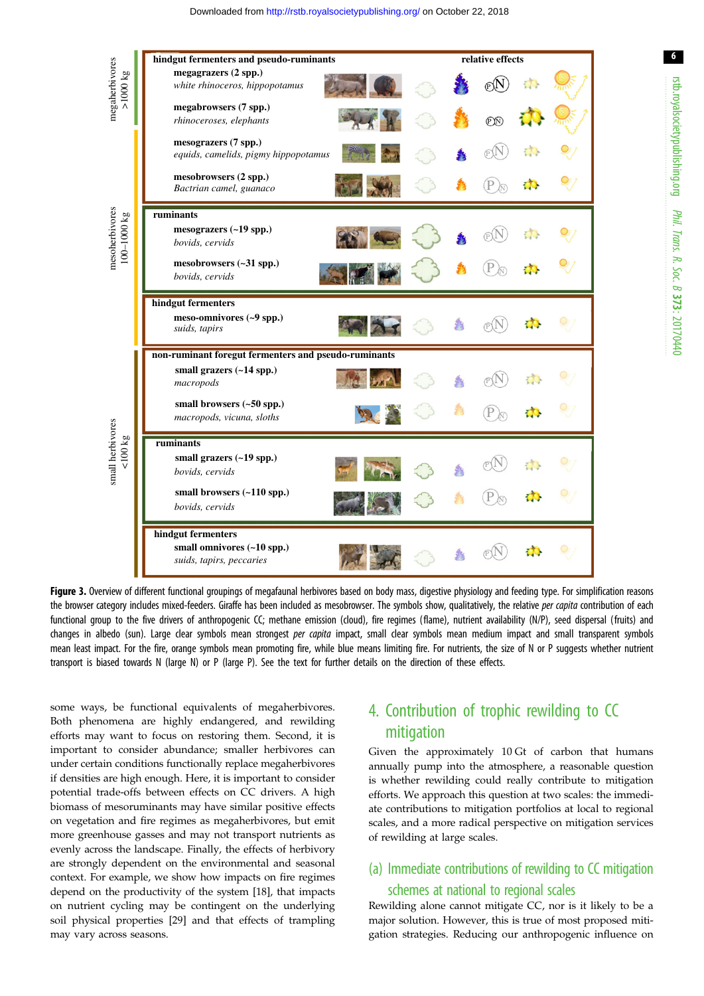<span id="page-5-0"></span>

Figure 3. Overview of different functional groupings of megafaunal herbivores based on body mass, digestive physiology and feeding type. For simplification reasons the browser category includes mixed-feeders. Giraffe has been included as mesobrowser. The symbols show, qualitatively, the relative per capita contribution of each functional group to the five drivers of anthropogenic CC; methane emission (cloud), fire regimes (flame), nutrient availability (N/P), seed dispersal (fruits) and changes in albedo (sun). Large clear symbols mean strongest *per capita* impact, small clear symbols mean medium impact and small transparent symbols mean least impact. For the fire, orange symbols mean promoting fire, while blue means limiting fire. For nutrients, the size of N or P suggests whether nutrient transport is biased towards N (large N) or P (large P). See the text for further details on the direction of these effects.

some ways, be functional equivalents of megaherbivores. Both phenomena are highly endangered, and rewilding efforts may want to focus on restoring them. Second, it is important to consider abundance; smaller herbivores can under certain conditions functionally replace megaherbivores if densities are high enough. Here, it is important to consider potential trade-offs between effects on CC drivers. A high biomass of mesoruminants may have similar positive effects on vegetation and fire regimes as megaherbivores, but emit more greenhouse gasses and may not transport nutrients as evenly across the landscape. Finally, the effects of herbivory are strongly dependent on the environmental and seasonal context. For example, we show how impacts on fire regimes depend on the productivity of the system [[18\]](#page-9-0), that impacts on nutrient cycling may be contingent on the underlying soil physical properties [[29\]](#page-9-0) and that effects of trampling may vary across seasons.

# 4. Contribution of trophic rewilding to CC mitigation

Given the approximately 10 Gt of carbon that humans annually pump into the atmosphere, a reasonable question is whether rewilding could really contribute to mitigation efforts. We approach this question at two scales: the immediate contributions to mitigation portfolios at local to regional scales, and a more radical perspective on mitigation services of rewilding at large scales.

### (a) Immediate contributions of rewilding to CC mitigation schemes at national to regional scales

Rewilding alone cannot mitigate CC, nor is it likely to be a major solution. However, this is true of most proposed mitigation strategies. Reducing our anthropogenic influence on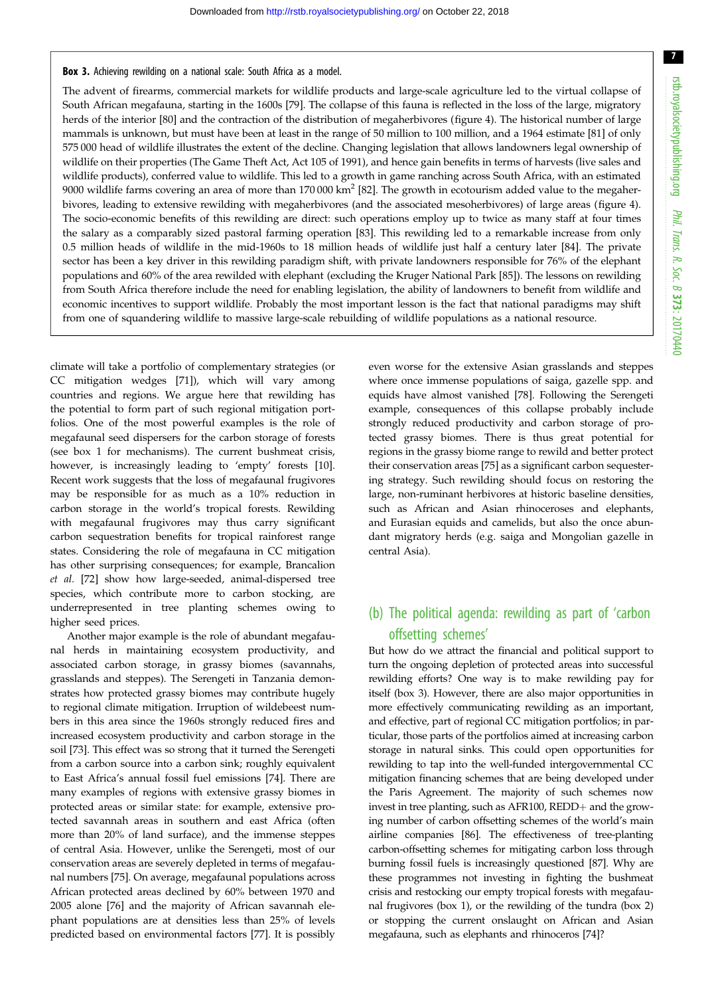#### <span id="page-6-0"></span>Box 3. Achieving rewilding on a national scale: South Africa as a model.

The advent of firearms, commercial markets for wildlife products and large-scale agriculture led to the virtual collapse of South African megafauna, starting in the 1600s [\[79](#page-11-0)]. The collapse of this fauna is reflected in the loss of the large, migratory herds of the interior [[80\]](#page-11-0) and the contraction of the distribution of megaherbivores [\(figure 4](#page-8-0)). The historical number of large mammals is unknown, but must have been at least in the range of 50 million to 100 million, and a 1964 estimate [\[81](#page-11-0)] of only 575 000 head of wildlife illustrates the extent of the decline. Changing legislation that allows landowners legal ownership of wildlife on their properties (The Game Theft Act, Act 105 of 1991), and hence gain benefits in terms of harvests (live sales and wildlife products), conferred value to wildlife. This led to a growth in game ranching across South Africa, with an estimated 9000 wildlife farms covering an area of more than  $170\,000\ km^2$  [[82\]](#page-11-0). The growth in ecotourism added value to the megaherbivores, leading to extensive rewilding with megaherbivores (and the associated mesoherbivores) of large areas ([figure 4](#page-8-0)). The socio-economic benefits of this rewilding are direct: such operations employ up to twice as many staff at four times the salary as a comparably sized pastoral farming operation [[83\]](#page-11-0). This rewilding led to a remarkable increase from only 0.5 million heads of wildlife in the mid-1960s to 18 million heads of wildlife just half a century later [[84\]](#page-11-0). The private sector has been a key driver in this rewilding paradigm shift, with private landowners responsible for 76% of the elephant populations and 60% of the area rewilded with elephant (excluding the Kruger National Park [\[85](#page-11-0)]). The lessons on rewilding from South Africa therefore include the need for enabling legislation, the ability of landowners to benefit from wildlife and economic incentives to support wildlife. Probably the most important lesson is the fact that national paradigms may shift from one of squandering wildlife to massive large-scale rebuilding of wildlife populations as a national resource.

climate will take a portfolio of complementary strategies (or CC mitigation wedges [\[71](#page-10-0)]), which will vary among countries and regions. We argue here that rewilding has the potential to form part of such regional mitigation portfolios. One of the most powerful examples is the role of megafaunal seed dispersers for the carbon storage of forests (see [box 1](#page-3-0) for mechanisms). The current bushmeat crisis, however, is increasingly leading to 'empty' forests [\[10](#page-9-0)]. Recent work suggests that the loss of megafaunal frugivores may be responsible for as much as a 10% reduction in carbon storage in the world's tropical forests. Rewilding with megafaunal frugivores may thus carry significant carbon sequestration benefits for tropical rainforest range states. Considering the role of megafauna in CC mitigation has other surprising consequences; for example, Brancalion et al. [\[72](#page-10-0)] show how large-seeded, animal-dispersed tree species, which contribute more to carbon stocking, are underrepresented in tree planting schemes owing to higher seed prices.

Another major example is the role of abundant megafaunal herds in maintaining ecosystem productivity, and associated carbon storage, in grassy biomes (savannahs, grasslands and steppes). The Serengeti in Tanzania demonstrates how protected grassy biomes may contribute hugely to regional climate mitigation. Irruption of wildebeest numbers in this area since the 1960s strongly reduced fires and increased ecosystem productivity and carbon storage in the soil [[73\]](#page-10-0). This effect was so strong that it turned the Serengeti from a carbon source into a carbon sink; roughly equivalent to East Africa's annual fossil fuel emissions [\[74](#page-10-0)]. There are many examples of regions with extensive grassy biomes in protected areas or similar state: for example, extensive protected savannah areas in southern and east Africa (often more than 20% of land surface), and the immense steppes of central Asia. However, unlike the Serengeti, most of our conservation areas are severely depleted in terms of megafaunal numbers [[75\]](#page-10-0). On average, megafaunal populations across African protected areas declined by 60% between 1970 and 2005 alone [\[76](#page-10-0)] and the majority of African savannah elephant populations are at densities less than 25% of levels predicted based on environmental factors [[77\]](#page-11-0). It is possibly

even worse for the extensive Asian grasslands and steppes where once immense populations of saiga, gazelle spp. and equids have almost vanished [\[78](#page-11-0)]. Following the Serengeti example, consequences of this collapse probably include strongly reduced productivity and carbon storage of protected grassy biomes. There is thus great potential for regions in the grassy biome range to rewild and better protect their conservation areas [[75\]](#page-10-0) as a significant carbon sequestering strategy. Such rewilding should focus on restoring the large, non-ruminant herbivores at historic baseline densities, such as African and Asian rhinoceroses and elephants, and Eurasian equids and camelids, but also the once abundant migratory herds (e.g. saiga and Mongolian gazelle in central Asia).

## (b) The political agenda: rewilding as part of 'carbon offsetting schemes'

But how do we attract the financial and political support to turn the ongoing depletion of protected areas into successful rewilding efforts? One way is to make rewilding pay for itself (box 3). However, there are also major opportunities in more effectively communicating rewilding as an important, and effective, part of regional CC mitigation portfolios; in particular, those parts of the portfolios aimed at increasing carbon storage in natural sinks. This could open opportunities for rewilding to tap into the well-funded intergovernmental CC mitigation financing schemes that are being developed under the Paris Agreement. The majority of such schemes now invest in tree planting, such as AFR100, REDD+ and the growing number of carbon offsetting schemes of the world's main airline companies [\[86](#page-11-0)]. The effectiveness of tree-planting carbon-offsetting schemes for mitigating carbon loss through burning fossil fuels is increasingly questioned [\[87\]](#page-11-0). Why are these programmes not investing in fighting the bushmeat crisis and restocking our empty tropical forests with megafaunal frugivores [\(box 1](#page-3-0)), or the rewilding of the tundra [\(box 2\)](#page-4-0) or stopping the current onslaught on African and Asian megafauna, such as elephants and rhinoceros [[74](#page-10-0)]?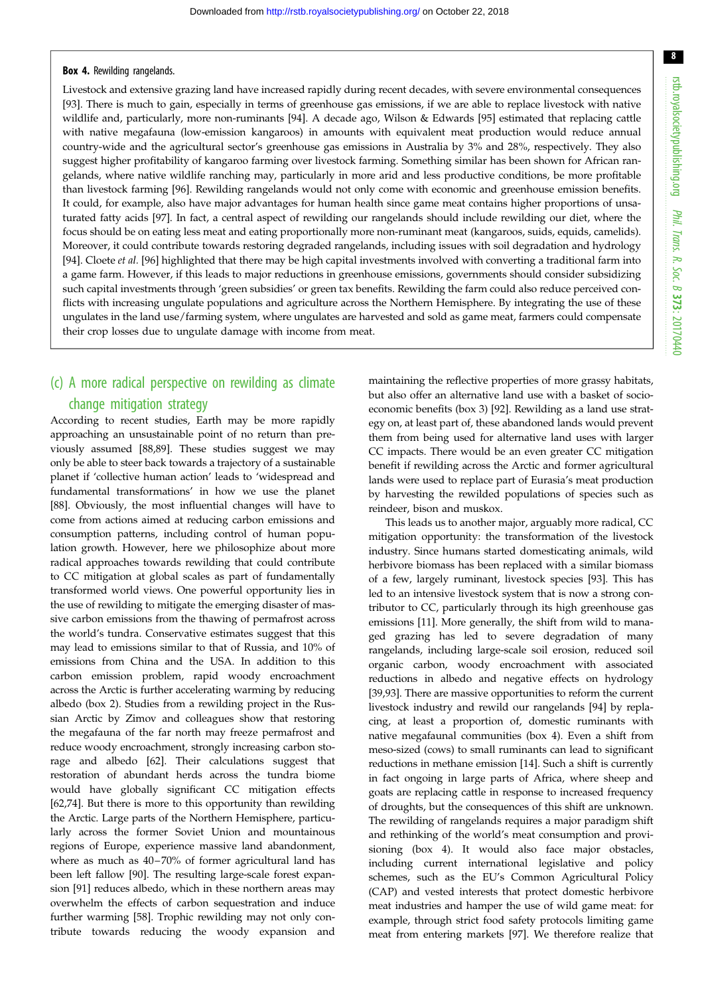8

#### <span id="page-7-0"></span>Box 4. Rewilding rangelands.

Livestock and extensive grazing land have increased rapidly during recent decades, with severe environmental consequences [[93\]](#page-11-0). There is much to gain, especially in terms of greenhouse gas emissions, if we are able to replace livestock with native wildlife and, particularly, more non-ruminants [[94\]](#page-11-0). A decade ago, Wilson & Edwards [\[95](#page-11-0)] estimated that replacing cattle with native megafauna (low-emission kangaroos) in amounts with equivalent meat production would reduce annual country-wide and the agricultural sector's greenhouse gas emissions in Australia by 3% and 28%, respectively. They also suggest higher profitability of kangaroo farming over livestock farming. Something similar has been shown for African rangelands, where native wildlife ranching may, particularly in more arid and less productive conditions, be more profitable than livestock farming [\[96](#page-11-0)]. Rewilding rangelands would not only come with economic and greenhouse emission benefits. It could, for example, also have major advantages for human health since game meat contains higher proportions of unsaturated fatty acids [[97\]](#page-11-0). In fact, a central aspect of rewilding our rangelands should include rewilding our diet, where the focus should be on eating less meat and eating proportionally more non-ruminant meat (kangaroos, suids, equids, camelids). Moreover, it could contribute towards restoring degraded rangelands, including issues with soil degradation and hydrology [[94\]](#page-11-0). Cloete et al. [[96\]](#page-11-0) highlighted that there may be high capital investments involved with converting a traditional farm into a game farm. However, if this leads to major reductions in greenhouse emissions, governments should consider subsidizing such capital investments through 'green subsidies' or green tax benefits. Rewilding the farm could also reduce perceived conflicts with increasing ungulate populations and agriculture across the Northern Hemisphere. By integrating the use of these ungulates in the land use/farming system, where ungulates are harvested and sold as game meat, farmers could compensate their crop losses due to ungulate damage with income from meat.

### (c) A more radical perspective on rewilding as climate change mitigation strategy

According to recent studies, Earth may be more rapidly approaching an unsustainable point of no return than previously assumed [[88,89\]](#page-11-0). These studies suggest we may only be able to steer back towards a trajectory of a sustainable planet if 'collective human action' leads to 'widespread and fundamental transformations' in how we use the planet [\[88](#page-11-0)]. Obviously, the most influential changes will have to come from actions aimed at reducing carbon emissions and consumption patterns, including control of human population growth. However, here we philosophize about more radical approaches towards rewilding that could contribute to CC mitigation at global scales as part of fundamentally transformed world views. One powerful opportunity lies in the use of rewilding to mitigate the emerging disaster of massive carbon emissions from the thawing of permafrost across the world's tundra. Conservative estimates suggest that this may lead to emissions similar to that of Russia, and 10% of emissions from China and the USA. In addition to this carbon emission problem, rapid woody encroachment across the Arctic is further accelerating warming by reducing albedo [\(box 2](#page-4-0)). Studies from a rewilding project in the Russian Arctic by Zimov and colleagues show that restoring the megafauna of the far north may freeze permafrost and reduce woody encroachment, strongly increasing carbon storage and albedo [[62\]](#page-10-0). Their calculations suggest that restoration of abundant herds across the tundra biome would have globally significant CC mitigation effects [\[62](#page-10-0),[74\]](#page-10-0). But there is more to this opportunity than rewilding the Arctic. Large parts of the Northern Hemisphere, particularly across the former Soviet Union and mountainous regions of Europe, experience massive land abandonment, where as much as 40–70% of former agricultural land has been left fallow [\[90](#page-11-0)]. The resulting large-scale forest expansion [[91\]](#page-11-0) reduces albedo, which in these northern areas may overwhelm the effects of carbon sequestration and induce further warming [[58\]](#page-10-0). Trophic rewilding may not only contribute towards reducing the woody expansion and

maintaining the reflective properties of more grassy habitats, but also offer an alternative land use with a basket of socioeconomic benefits [\(box 3\)](#page-6-0) [\[92](#page-11-0)]. Rewilding as a land use strategy on, at least part of, these abandoned lands would prevent them from being used for alternative land uses with larger CC impacts. There would be an even greater CC mitigation benefit if rewilding across the Arctic and former agricultural lands were used to replace part of Eurasia's meat production by harvesting the rewilded populations of species such as reindeer, bison and muskox.

This leads us to another major, arguably more radical, CC mitigation opportunity: the transformation of the livestock industry. Since humans started domesticating animals, wild herbivore biomass has been replaced with a similar biomass of a few, largely ruminant, livestock species [\[93](#page-11-0)]. This has led to an intensive livestock system that is now a strong contributor to CC, particularly through its high greenhouse gas emissions [\[11](#page-9-0)]. More generally, the shift from wild to managed grazing has led to severe degradation of many rangelands, including large-scale soil erosion, reduced soil organic carbon, woody encroachment with associated reductions in albedo and negative effects on hydrology [[39,](#page-10-0)[93\]](#page-11-0). There are massive opportunities to reform the current livestock industry and rewild our rangelands [\[94](#page-11-0)] by replacing, at least a proportion of, domestic ruminants with native megafaunal communities (box 4). Even a shift from meso-sized (cows) to small ruminants can lead to significant reductions in methane emission [[14\]](#page-9-0). Such a shift is currently in fact ongoing in large parts of Africa, where sheep and goats are replacing cattle in response to increased frequency of droughts, but the consequences of this shift are unknown. The rewilding of rangelands requires a major paradigm shift and rethinking of the world's meat consumption and provisioning (box 4). It would also face major obstacles, including current international legislative and policy schemes, such as the EU's Common Agricultural Policy (CAP) and vested interests that protect domestic herbivore meat industries and hamper the use of wild game meat: for example, through strict food safety protocols limiting game meat from entering markets [\[97](#page-11-0)]. We therefore realize that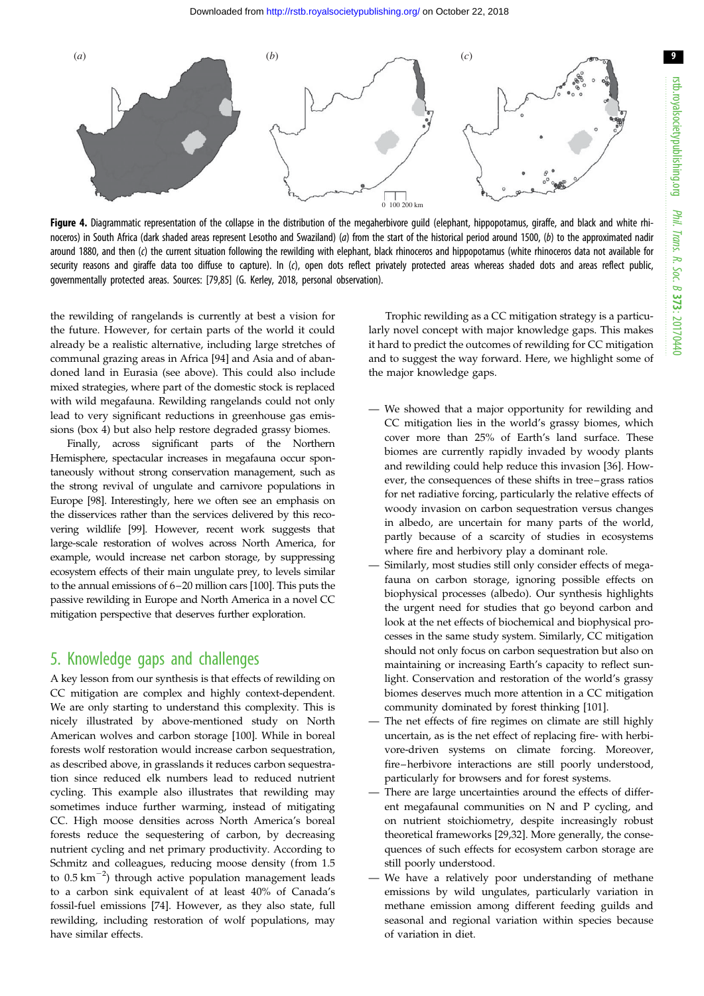<span id="page-8-0"></span>

Figure 4. Diagrammatic representation of the collapse in the distribution of the megaherbivore guild (elephant, hippopotamus, giraffe, and black and white rhinoceros) in South Africa (dark shaded areas represent Lesotho and Swaziland) (a) from the start of the historical period around 1500, (b) to the approximated nadir around 1880, and then (c) the current situation following the rewilding with elephant, black rhinoceros and hippopotamus (white rhinoceros data not available for security reasons and giraffe data too diffuse to capture). In (c), open dots reflect privately protected areas whereas shaded dots and areas reflect public, governmentally protected areas. Sources: [[79,85\]](#page-11-0) (G. Kerley, 2018, personal observation).

the rewilding of rangelands is currently at best a vision for the future. However, for certain parts of the world it could already be a realistic alternative, including large stretches of communal grazing areas in Africa [[94\]](#page-11-0) and Asia and of abandoned land in Eurasia (see above). This could also include mixed strategies, where part of the domestic stock is replaced with wild megafauna. Rewilding rangelands could not only lead to very significant reductions in greenhouse gas emissions [\(box 4](#page-7-0)) but also help restore degraded grassy biomes.

Finally, across significant parts of the Northern Hemisphere, spectacular increases in megafauna occur spontaneously without strong conservation management, such as the strong revival of ungulate and carnivore populations in Europe [[98](#page-11-0)]. Interestingly, here we often see an emphasis on the disservices rather than the services delivered by this recovering wildlife [\[99\]](#page-11-0). However, recent work suggests that large-scale restoration of wolves across North America, for example, would increase net carbon storage, by suppressing ecosystem effects of their main ungulate prey, to levels similar to the annual emissions of 6–20 million cars [\[100](#page-11-0)]. This puts the passive rewilding in Europe and North America in a novel CC mitigation perspective that deserves further exploration.

### 5. Knowledge gaps and challenges

A key lesson from our synthesis is that effects of rewilding on CC mitigation are complex and highly context-dependent. We are only starting to understand this complexity. This is nicely illustrated by above-mentioned study on North American wolves and carbon storage [\[100\]](#page-11-0). While in boreal forests wolf restoration would increase carbon sequestration, as described above, in grasslands it reduces carbon sequestration since reduced elk numbers lead to reduced nutrient cycling. This example also illustrates that rewilding may sometimes induce further warming, instead of mitigating CC. High moose densities across North America's boreal forests reduce the sequestering of carbon, by decreasing nutrient cycling and net primary productivity. According to Schmitz and colleagues, reducing moose density (from 1.5 to  $0.5 \text{ km}^{-2}$ ) through active population management leads to a carbon sink equivalent of at least 40% of Canada's fossil-fuel emissions [[74\]](#page-10-0). However, as they also state, full rewilding, including restoration of wolf populations, may have similar effects.

Trophic rewilding as a CC mitigation strategy is a particularly novel concept with major knowledge gaps. This makes it hard to predict the outcomes of rewilding for CC mitigation and to suggest the way forward. Here, we highlight some of the major knowledge gaps.

- We showed that a major opportunity for rewilding and CC mitigation lies in the world's grassy biomes, which cover more than 25% of Earth's land surface. These biomes are currently rapidly invaded by woody plants and rewilding could help reduce this invasion [\[36](#page-10-0)]. However, the consequences of these shifts in tree –grass ratios for net radiative forcing, particularly the relative effects of woody invasion on carbon sequestration versus changes in albedo, are uncertain for many parts of the world, partly because of a scarcity of studies in ecosystems where fire and herbivory play a dominant role.
- Similarly, most studies still only consider effects of megafauna on carbon storage, ignoring possible effects on biophysical processes (albedo). Our synthesis highlights the urgent need for studies that go beyond carbon and look at the net effects of biochemical and biophysical processes in the same study system. Similarly, CC mitigation should not only focus on carbon sequestration but also on maintaining or increasing Earth's capacity to reflect sunlight. Conservation and restoration of the world's grassy biomes deserves much more attention in a CC mitigation community dominated by forest thinking [\[101\]](#page-11-0).
- The net effects of fire regimes on climate are still highly uncertain, as is the net effect of replacing fire- with herbivore-driven systems on climate forcing. Moreover, fire–herbivore interactions are still poorly understood, particularly for browsers and for forest systems.
- There are large uncertainties around the effects of different megafaunal communities on N and P cycling, and on nutrient stoichiometry, despite increasingly robust theoretical frameworks [\[29](#page-9-0),[32](#page-9-0)]. More generally, the consequences of such effects for ecosystem carbon storage are still poorly understood.
- We have a relatively poor understanding of methane emissions by wild ungulates, particularly variation in methane emission among different feeding guilds and seasonal and regional variation within species because of variation in diet.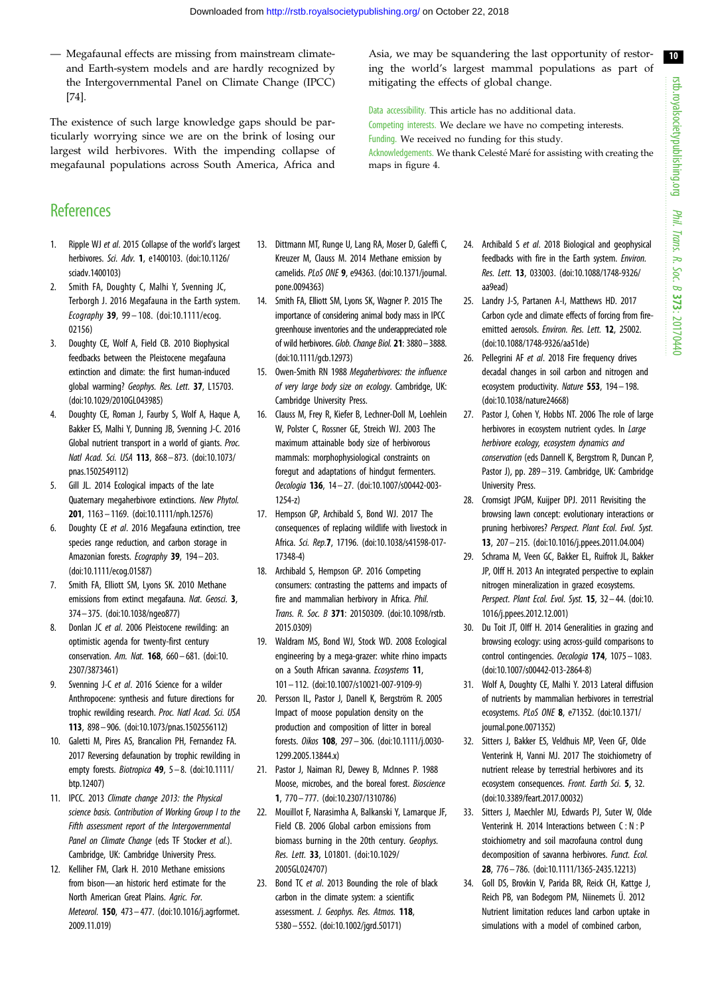10

<span id="page-9-0"></span>— Megafaunal effects are missing from mainstream climateand Earth-system models and are hardly recognized by the Intergovernmental Panel on Climate Change (IPCC) [[74\]](#page-10-0).

The existence of such large knowledge gaps should be particularly worrying since we are on the brink of losing our largest wild herbivores. With the impending collapse of megafaunal populations across South America, Africa and

Asia, we may be squandering the last opportunity of restoring the world's largest mammal populations as part of mitigating the effects of global change.

Data accessibility. This article has no additional data. Competing interests. We declare we have no competing interests. Funding. We received no funding for this study. Acknowledgements. We thank Celesté Maré for assisting with creating the maps in [figure 4](#page-8-0).

# **References**

- 1. Ripple WJ et al. 2015 Collapse of the world's largest herbivores. Sci. Adv. 1, e1400103. ([doi:10.1126/](http://dx.doi.org/10.1126/sciadv.1400103) [sciadv.1400103\)](http://dx.doi.org/10.1126/sciadv.1400103)
- 2. Smith FA, Doughty C, Malhi Y, Svenning JC, Terborgh J. 2016 Megafauna in the Earth system. Ecography 39, 99 – 108. ([doi:10.1111/ecog.](http://dx.doi.org/10.1111/ecog.02156) [02156\)](http://dx.doi.org/10.1111/ecog.02156)
- 3. Doughty CE, Wolf A, Field CB. 2010 Biophysical feedbacks between the Pleistocene megafauna extinction and climate: the first human-induced global warming? Geophys. Res. Lett. 37, L15703. [\(doi:10.1029/2010GL043985\)](http://dx.doi.org/10.1029/2010GL043985)
- 4. Doughty CE, Roman J, Faurby S, Wolf A, Haque A, Bakker ES, Malhi Y, Dunning JB, Svenning J-C. 2016 Global nutrient transport in a world of giants. Proc. Natl Acad. Sci. USA 113, 868– 873. ([doi:10.1073/](http://dx.doi.org/10.1073/pnas.1502549112) [pnas.1502549112](http://dx.doi.org/10.1073/pnas.1502549112))
- 5. Gill JL. 2014 Ecological impacts of the late Quaternary megaherbivore extinctions. New Phytol. 201, 1163– 1169. [\(doi:10.1111/nph.12576](http://dx.doi.org/10.1111/nph.12576))
- 6. Doughty CE et al. 2016 Megafauna extinction, tree species range reduction, and carbon storage in Amazonian forests. Ecography 39, 194-203. [\(doi:10.1111/ecog.01587](http://dx.doi.org/10.1111/ecog.01587))
- 7. Smith FA, Elliott SM, Lyons SK. 2010 Methane emissions from extinct megafauna. Nat. Geosci. 3, 374– 375. ([doi:10.1038/ngeo877\)](http://dx.doi.org/10.1038/ngeo877)
- 8. Donlan JC et al. 2006 Pleistocene rewilding: an optimistic agenda for twenty-first century conservation. Am. Nat. 168, 660 – 681. [\(doi:10.](http://dx.doi.org/10.2307/3873461) [2307/3873461\)](http://dx.doi.org/10.2307/3873461)
- 9. Svenning J-C et al. 2016 Science for a wilder Anthropocene: synthesis and future directions for trophic rewilding research. Proc. Natl Acad. Sci. USA 113, 898– 906. [\(doi:10.1073/pnas.1502556112](http://dx.doi.org/10.1073/pnas.1502556112))
- 10. Galetti M, Pires AS, Brancalion PH, Fernandez FA. 2017 Reversing defaunation by trophic rewilding in empty forests. Biotropica 49, 5-8. [\(doi:10.1111/](http://dx.doi.org/10.1111/btp.12407) [btp.12407](http://dx.doi.org/10.1111/btp.12407))
- 11. IPCC. 2013 Climate change 2013: the Physical science basis. Contribution of Working Group I to the Fifth assessment report of the Intergovernmental Panel on Climate Change (eds TF Stocker et al.). Cambridge, UK: Cambridge University Press.
- 12. Kelliher FM, Clark H. 2010 Methane emissions from bison—an historic herd estimate for the North American Great Plains. Agric. For. Meteorol. 150, 473– 477. ([doi:10.1016/j.agrformet.](http://dx.doi.org/10.1016/j.agrformet.2009.11.019) [2009.11.019\)](http://dx.doi.org/10.1016/j.agrformet.2009.11.019)
- 13. Dittmann MT, Runge U, Lang RA, Moser D, Galeffi C, Kreuzer M, Clauss M. 2014 Methane emission by camelids. PLoS ONE 9, e94363. ([doi:10.1371/journal.](http://dx.doi.org/10.1371/journal.pone.0094363) [pone.0094363\)](http://dx.doi.org/10.1371/journal.pone.0094363)
- 14. Smith FA, Elliott SM, Lyons SK, Wagner P. 2015 The importance of considering animal body mass in IPCC greenhouse inventories and the underappreciated role of wild herbivores. Glob. Change Biol. 21: 3880–3888. [\(doi:10.1111/gcb.12973](http://dx.doi.org/10.1111/gcb.12973))
- 15. Owen-Smith RN 1988 Megaherbivores: the influence of very large body size on ecology. Cambridge, UK: Cambridge University Press.
- 16. Clauss M, Frey R, Kiefer B, Lechner-Doll M, Loehlein W, Polster C, Rossner GE, Streich WJ. 2003 The maximum attainable body size of herbivorous mammals: morphophysiological constraints on foregut and adaptations of hindgut fermenters. Oecologia 136, 14 – 27. [\(doi:10.1007/s00442-003-](http://dx.doi.org/10.1007/s00442-003-1254-z) [1254-z\)](http://dx.doi.org/10.1007/s00442-003-1254-z)
- 17. Hempson GP, Archibald S, Bond WJ. 2017 The consequences of replacing wildlife with livestock in Africa. Sci. Rep.7, 17196. [\(doi:10.1038/s41598-017-](http://dx.doi.org/10.1038/s41598-017-17348-4) [17348-4\)](http://dx.doi.org/10.1038/s41598-017-17348-4)
- 18. Archibald S, Hempson GP. 2016 Competing consumers: contrasting the patterns and impacts of fire and mammalian herbivory in Africa. Phil. Trans. R. Soc. B 371: 20150309. [\(doi:10.1098/rstb.](http://dx.doi.org/10.1098/rstb.2015.0309) [2015.0309\)](http://dx.doi.org/10.1098/rstb.2015.0309)
- 19. Waldram MS, Bond WJ, Stock WD. 2008 Ecological engineering by a mega-grazer: white rhino impacts on a South African savanna. Ecosystems 11, 101 – 112. [\(doi:10.1007/s10021-007-9109-9\)](http://dx.doi.org/10.1007/s10021-007-9109-9)
- 20. Persson IL, Pastor J, Danell K, Bergström R. 2005 Impact of moose population density on the production and composition of litter in boreal forests. Oikos 108, 297– 306. ([doi:10.1111/j.0030-](http://dx.doi.org/10.1111/j.0030-1299.2005.13844.x) [1299.2005.13844.x\)](http://dx.doi.org/10.1111/j.0030-1299.2005.13844.x)
- 21. Pastor J, Naiman RJ, Dewey B, McInnes P. 1988 Moose, microbes, and the boreal forest. Bioscience 1, 770– 777. ([doi:10.2307/1310786\)](http://dx.doi.org/10.2307/1310786)
- 22. Mouillot F, Narasimha A, Balkanski Y, Lamarque JF, Field CB. 2006 Global carbon emissions from biomass burning in the 20th century. Geophys. Res. Lett. 33, L01801. [\(doi:10.1029/](http://dx.doi.org/10.1029/2005GL024707) [2005GL024707\)](http://dx.doi.org/10.1029/2005GL024707)
- 23. Bond TC et al. 2013 Bounding the role of black carbon in the climate system: a scientific assessment. J. Geophys. Res. Atmos. 118, 5380– 5552. [\(doi:10.1002/jgrd.50171](http://dx.doi.org/10.1002/jgrd.50171))
- 24. Archibald S et al. 2018 Biological and geophysical feedbacks with fire in the Earth system. Environ. Res. Lett. 13, 033003. [\(doi:10.1088/1748-9326/](http://dx.doi.org/10.1088/1748-9326/aa9ead) [aa9ead](http://dx.doi.org/10.1088/1748-9326/aa9ead))
- 25. Landry J-S, Partanen A-I, Matthews HD. 2017 Carbon cycle and climate effects of forcing from fireemitted aerosols. Environ. Res. Lett. 12, 25002. ([doi:10.1088/1748-9326/aa51de](http://dx.doi.org/10.1088/1748-9326/aa51de))
- 26. Pellegrini AF et al. 2018 Fire frequency drives decadal changes in soil carbon and nitrogen and ecosystem productivity. Nature 553, 194– 198. ([doi:10.1038/nature24668\)](http://dx.doi.org/10.1038/nature24668)
- 27. Pastor J, Cohen Y, Hobbs NT. 2006 The role of large herbivores in ecosystem nutrient cycles. In Large herbivore ecology, ecosystem dynamics and conservation (eds Dannell K, Bergstrom R, Duncan P, Pastor J), pp. 289 – 319. Cambridge, UK: Cambridge University Press.
- 28. Cromsigt JPGM, Kuijper DPJ. 2011 Revisiting the browsing lawn concept: evolutionary interactions or pruning herbivores? Perspect. Plant Ecol. Evol. Syst. 13, 207 – 215. [\(doi:10.1016/j.ppees.2011.04.004\)](http://dx.doi.org/10.1016/j.ppees.2011.04.004)
- 29. Schrama M, Veen GC, Bakker EL, Ruifrok JL, Bakker JP, Olff H. 2013 An integrated perspective to explain nitrogen mineralization in grazed ecosystems. Perspect. Plant Ecol. Evol. Syst. 15, 32-44. [\(doi:10.](http://dx.doi.org/10.1016/j.ppees.2012.12.001) [1016/j.ppees.2012.12.001](http://dx.doi.org/10.1016/j.ppees.2012.12.001))
- 30. Du Toit JT, Olff H. 2014 Generalities in grazing and browsing ecology: using across-guild comparisons to control contingencies. Oecologia 174, 1075 – 1083. ([doi:10.1007/s00442-013-2864-8](http://dx.doi.org/10.1007/s00442-013-2864-8))
- 31. Wolf A, Doughty CE, Malhi Y. 2013 Lateral diffusion of nutrients by mammalian herbivores in terrestrial ecosystems. PLoS ONE 8, e71352. ([doi:10.1371/](http://dx.doi.org/10.1371/journal.pone.0071352) [journal.pone.0071352\)](http://dx.doi.org/10.1371/journal.pone.0071352)
- 32. Sitters J, Bakker ES, Veldhuis MP, Veen GF, Olde Venterink H, Vanni MJ. 2017 The stoichiometry of nutrient release by terrestrial herbivores and its ecosystem consequences. Front. Earth Sci. 5, 32. ([doi:10.3389/feart.2017.00032](http://dx.doi.org/10.3389/feart.2017.00032))
- 33. Sitters J, Maechler MJ, Edwards PJ, Suter W, Olde Venterink H. 2014 Interactions between C : N : P stoichiometry and soil macrofauna control dung decomposition of savanna herbivores. Funct. Ecol. 28, 776 – 786. [\(doi:10.1111/1365-2435.12213\)](http://dx.doi.org/10.1111/1365-2435.12213)
- 34. Goll DS, Brovkin V, Parida BR, Reick CH, Kattge J, Reich PB, van Bodegom PM, Niinemets Ü. 2012 Nutrient limitation reduces land carbon uptake in simulations with a model of combined carbon,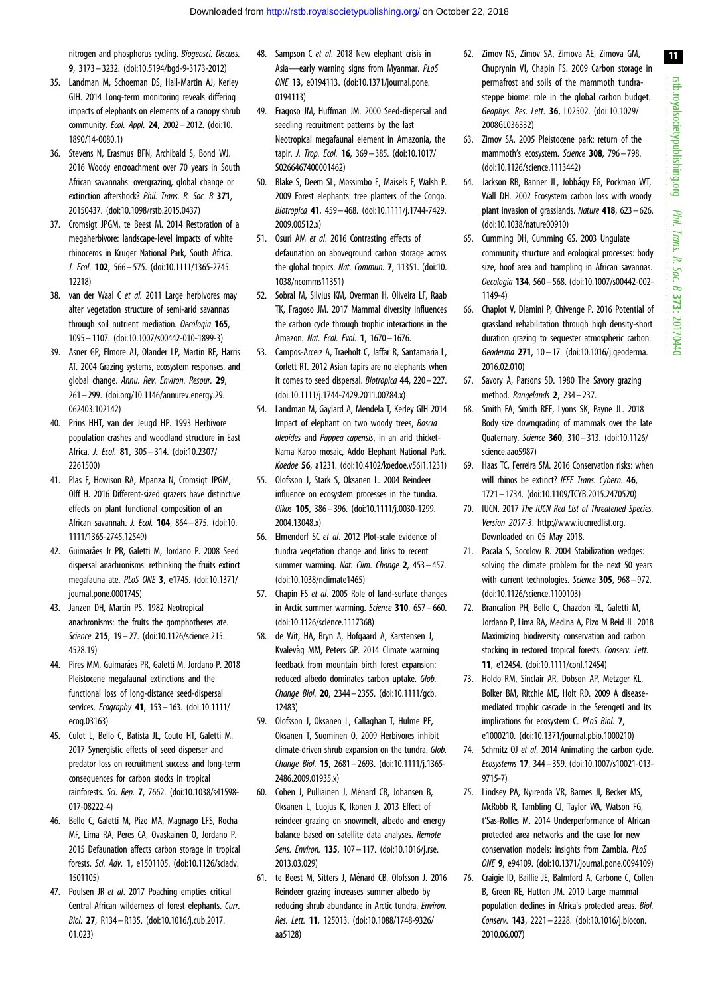<span id="page-10-0"></span>nitrogen and phosphorus cycling. Biogeosci. Discuss. 9, 3173– 3232. ([doi:10.5194/bgd-9-3173-2012\)](http://dx.doi.org/10.5194/bgd-9-3173-2012)

- 35. Landman M, Schoeman DS, Hall-Martin AJ, Kerley GIH. 2014 Long-term monitoring reveals differing impacts of elephants on elements of a canopy shrub community. Ecol. Appl. 24, 2002 – 2012. [\(doi:10.](http://dx.doi.org/10.1890/14-0080.1) [1890/14-0080.1\)](http://dx.doi.org/10.1890/14-0080.1)
- 36. Stevens N, Erasmus BFN, Archibald S, Bond WJ. 2016 Woody encroachment over 70 years in South African savannahs: overgrazing, global change or extinction aftershock? Phil. Trans. R. Soc. B 371, 20150437. [\(doi:10.1098/rstb.2015.0437](http://dx.doi.org/10.1098/rstb.2015.0437))
- 37. Cromsigt JPGM, te Beest M. 2014 Restoration of a megaherbivore: landscape-level impacts of white rhinoceros in Kruger National Park, South Africa. J. Ecol. 102, 566– 575. ([doi:10.1111/1365-2745.](http://dx.doi.org/10.1111/1365-2745.12218) [12218\)](http://dx.doi.org/10.1111/1365-2745.12218)
- 38. van der Waal C et al. 2011 Large herbivores may alter vegetation structure of semi-arid savannas through soil nutrient mediation. Oecologia 165, 1095 – 1107. [\(doi:10.1007/s00442-010-1899-3\)](http://dx.doi.org/10.1007/s00442-010-1899-3)
- 39. Asner GP, Elmore AJ, Olander LP, Martin RE, Harris AT. 2004 Grazing systems, ecosystem responses, and global change. Annu. Rev. Environ. Resour. 29, 261– 299. ([doi.org/10.1146/annurev.energy.29.](http://dx.doi.org/doi.org/10.1146/annurev.energy.29.062403.102142) [062403.102142](http://dx.doi.org/doi.org/10.1146/annurev.energy.29.062403.102142))
- 40. Prins HHT, van der Jeugd HP. 1993 Herbivore population crashes and woodland structure in East Africa. J. Ecol. 81, 305– 314. [\(doi:10.2307/](http://dx.doi.org/10.2307/2261500) [2261500](http://dx.doi.org/10.2307/2261500))
- 41. Plas F, Howison RA, Mpanza N, Cromsigt JPGM, Olff H. 2016 Different-sized grazers have distinctive effects on plant functional composition of an African savannah. J. Ecol. 104, 864– 875. ([doi:10.](http://dx.doi.org/10.1111/1365-2745.12549) [1111/1365-2745.12549](http://dx.doi.org/10.1111/1365-2745.12549))
- 42. Guimarães Jr PR, Galetti M, Jordano P. 2008 Seed dispersal anachronisms: rethinking the fruits extinct megafauna ate. PLoS ONE 3, e1745. ([doi:10.1371/](http://dx.doi.org/10.1371/journal.pone.0001745) [journal.pone.0001745\)](http://dx.doi.org/10.1371/journal.pone.0001745)
- 43. Janzen DH, Martin PS. 1982 Neotropical anachronisms: the fruits the gomphotheres ate. Science 215, 19 – 27. ([doi:10.1126/science.215.](http://dx.doi.org/10.1126/science.215.4528.19) [4528.19](http://dx.doi.org/10.1126/science.215.4528.19))
- 44. Pires MM, Guimarães PR, Galetti M, Jordano P. 2018 Pleistocene megafaunal extinctions and the functional loss of long-distance seed-dispersal services. Ecoaraphy **41**, 153 - 163. ([doi:10.1111/](http://dx.doi.org/10.1111/ecog.03163) [ecog.03163](http://dx.doi.org/10.1111/ecog.03163))
- 45. Culot L, Bello C, Batista JL, Couto HT, Galetti M. 2017 Synergistic effects of seed disperser and predator loss on recruitment success and long-term consequences for carbon stocks in tropical rainforests. Sci. Rep. 7, 7662. ([doi:10.1038/s41598-](http://dx.doi.org/10.1038/s41598-017-08222-4) [017-08222-4](http://dx.doi.org/10.1038/s41598-017-08222-4))
- 46. Bello C, Galetti M, Pizo MA, Magnago LFS, Rocha MF, Lima RA, Peres CA, Ovaskainen O, Jordano P. 2015 Defaunation affects carbon storage in tropical forests. Sci. Adv. 1, e1501105. [\(doi:10.1126/sciadv.](http://dx.doi.org/10.1126/sciadv.1501105) [1501105\)](http://dx.doi.org/10.1126/sciadv.1501105)
- 47. Poulsen JR et al. 2017 Poaching empties critical Central African wilderness of forest elephants. Curr. Biol. 27, R134 –R135. ([doi:10.1016/j.cub.2017.](http://dx.doi.org/10.1016/j.cub.2017.01.023) [01.023\)](http://dx.doi.org/10.1016/j.cub.2017.01.023)
- 48. Sampson C et al. 2018 New elephant crisis in Asia—early warning signs from Myanmar. PLoS ONE 13, e0194113. ([doi:10.1371/journal.pone.](http://dx.doi.org/10.1371/journal.pone.0194113) [0194113\)](http://dx.doi.org/10.1371/journal.pone.0194113)
- 49. Fragoso JM, Huffman JM. 2000 Seed-dispersal and seedling recruitment patterns by the last Neotropical megafaunal element in Amazonia, the tapir. J. Trop. Ecol. 16, 369 – 385. [\(doi:10.1017/](http://dx.doi.org/10.1017/S0266467400001462) [S0266467400001462](http://dx.doi.org/10.1017/S0266467400001462))
- 50. Blake S, Deem SL, Mossimbo E, Maisels F, Walsh P. 2009 Forest elephants: tree planters of the Congo. Biotropica 41, 459 – 468. [\(doi:10.1111/j.1744-7429.](http://dx.doi.org/10.1111/j.1744-7429.2009.00512.x) [2009.00512.x\)](http://dx.doi.org/10.1111/j.1744-7429.2009.00512.x)
- 51. Osuri AM et al. 2016 Contrasting effects of defaunation on aboveground carbon storage across the global tropics. Nat. Commun. 7, 11351. [\(doi:10.](http://dx.doi.org/10.1038/ncomms11351) [1038/ncomms11351\)](http://dx.doi.org/10.1038/ncomms11351)
- 52. Sobral M, Silvius KM, Overman H, Oliveira LF, Raab TK, Fragoso JM. 2017 Mammal diversity influences the carbon cycle through trophic interactions in the Amazon. Nat. Ecol. Evol. 1, 1670 - 1676.
- 53. Campos-Arceiz A, Traeholt C, Jaffar R, Santamaria L, Corlett RT. 2012 Asian tapirs are no elephants when it comes to seed dispersal. Biotropica 44, 220– 227. [\(doi:10.1111/j.1744-7429.2011.00784.x\)](http://dx.doi.org/10.1111/j.1744-7429.2011.00784.x)
- 54. Landman M, Gaylard A, Mendela T, Kerley GIH 2014 Impact of elephant on two woody trees, Boscia oleoides and Pappea capensis, in an arid thicket-Nama Karoo mosaic, Addo Elephant National Park. Koedoe 56, a1231. ([doi:10.4102/koedoe.v56i1.1231\)](http://dx.doi.org/10.4102/koedoe.v56i1.1231)
- 55. Olofsson J, Stark S, Oksanen L. 2004 Reindeer influence on ecosystem processes in the tundra. Oikos 105, 386– 396. [\(doi:10.1111/j.0030-1299.](http://dx.doi.org/10.1111/j.0030-1299.2004.13048.x) [2004.13048.x\)](http://dx.doi.org/10.1111/j.0030-1299.2004.13048.x)
- 56. Elmendorf SC et al. 2012 Plot-scale evidence of tundra vegetation change and links to recent summer warming. Nat. Clim. Change 2, 453-457. [\(doi:10.1038/nclimate1465\)](http://dx.doi.org/10.1038/nclimate1465)
- 57. Chapin FS et al. 2005 Role of land-surface changes in Arctic summer warming. Science 310, 657 - 660. [\(doi:10.1126/science.1117368](http://dx.doi.org/10.1126/science.1117368))
- 58. de Wit, HA, Bryn A, Hofgaard A, Karstensen J, Kvalevåg MM, Peters GP. 2014 Climate warming feedback from mountain birch forest expansion: reduced albedo dominates carbon uptake. Glob. Change Biol. 20, 2344– 2355. ([doi:10.1111/gcb.](http://dx.doi.org/10.1111/gcb.12483) [12483\)](http://dx.doi.org/10.1111/gcb.12483)
- 59. Olofsson J, Oksanen L, Callaghan T, Hulme PE, Oksanen T, Suominen O. 2009 Herbivores inhibit climate-driven shrub expansion on the tundra. Glob. Change Biol. 15, 2681– 2693. ([doi:10.1111/j.1365-](http://dx.doi.org/10.1111/j.1365-2486.2009.01935.x) [2486.2009.01935.x\)](http://dx.doi.org/10.1111/j.1365-2486.2009.01935.x)
- 60. Cohen J, Pulliainen J, Ménard CB, Johansen B, Oksanen L, Luojus K, Ikonen J. 2013 Effect of reindeer grazing on snowmelt, albedo and energy balance based on satellite data analyses. Remote Sens. Environ. **135**, 107 - 117. (doi:10.1016/i.rse. [2013.03.029\)](http://dx.doi.org/10.1016/j.rse.2013.03.029)
- 61. te Beest M, Sitters J, Ménard CB, Olofsson J. 2016 Reindeer grazing increases summer albedo by reducing shrub abundance in Arctic tundra. Environ. Res. Lett. 11, 125013. ([doi:10.1088/1748-9326/](http://dx.doi.org/10.1088/1748-9326/aa5128) [aa5128\)](http://dx.doi.org/10.1088/1748-9326/aa5128)
- 62. Zimov NS, Zimov SA, Zimova AE, Zimova GM, Chuprynin VI, Chapin FS. 2009 Carbon storage in permafrost and soils of the mammoth tundrasteppe biome: role in the global carbon budget. Geophys. Res. Lett. 36, L02502. ([doi:10.1029/](http://dx.doi.org/10.1029/2008GL036332) [2008GL036332](http://dx.doi.org/10.1029/2008GL036332))
- 63. Zimov SA. 2005 Pleistocene park: return of the mammoth's ecosystem. Science 308, 796-798. ([doi:10.1126/science.1113442](http://dx.doi.org/10.1126/science.1113442))
- 64. Jackson RB, Banner JL, Jobbágy EG, Pockman WT, Wall DH. 2002 Ecosystem carbon loss with woody plant invasion of grasslands. Nature 418, 623 – 626. ([doi:10.1038/nature00910\)](http://dx.doi.org/10.1038/nature00910)
- 65. Cumming DH, Cumming GS. 2003 Ungulate community structure and ecological processes: body size, hoof area and trampling in African savannas. Oecologia 134, 560– 568. ([doi:10.1007/s00442-002-](http://dx.doi.org/10.1007/s00442-002-1149-4) [1149-4](http://dx.doi.org/10.1007/s00442-002-1149-4))
- 66. Chaplot V, Dlamini P, Chivenge P. 2016 Potential of grassland rehabilitation through high density-short duration grazing to sequester atmospheric carbon. Geoderma 271, 10 – 17. ([doi:10.1016/j.geoderma.](http://dx.doi.org/10.1016/j.geoderma.2016.02.010) [2016.02.010](http://dx.doi.org/10.1016/j.geoderma.2016.02.010))
- 67. Savory A, Parsons SD. 1980 The Savory grazing method. Rangelands 2, 234– 237.
- 68. Smith FA, Smith REE, Lyons SK, Payne JL. 2018 Body size downgrading of mammals over the late Quaternary. Science 360, 310– 313. ([doi:10.1126/](http://dx.doi.org/10.1126/science.aao5987) [science.aao5987\)](http://dx.doi.org/10.1126/science.aao5987)
- 69. Haas TC, Ferreira SM. 2016 Conservation risks: when will rhinos be extinct? IEEE Trans. Cybern. 46, 1721– 1734. ([doi:10.1109/TCYB.2015.2470520](http://dx.doi.org/10.1109/TCYB.2015.2470520))
- 70. IUCN. 2017 The IUCN Red List of Threatened Species. Version 2017-3.<http://www.iucnredlist.org>. Downloaded on 05 May 2018.
- 71. Pacala S, Socolow R. 2004 Stabilization wedges: solving the climate problem for the next 50 years with current technologies. Science 305, 968-972. ([doi:10.1126/science.1100103](http://dx.doi.org/10.1126/science.1100103))
- 72. Brancalion PH, Bello C, Chazdon RL, Galetti M, Jordano P, Lima RA, Medina A, Pizo M Reid JL. 2018 Maximizing biodiversity conservation and carbon stocking in restored tropical forests. Conserv. Lett. 11, e12454. ([doi:10.1111/conl.12454](http://dx.doi.org/10.1111/conl.12454))
- 73. Holdo RM, Sinclair AR, Dobson AP, Metzger KL, Bolker BM, Ritchie ME, Holt RD. 2009 A diseasemediated trophic cascade in the Serengeti and its implications for ecosystem C. PLoS Biol. 7, e1000210. [\(doi:10.1371/journal.pbio.1000210](http://dx.doi.org/10.1371/journal.pbio.1000210))
- 74. Schmitz OJ et al. 2014 Animating the carbon cycle. Ecosystems 17, 344– 359. ([doi:10.1007/s10021-013-](http://dx.doi.org/10.1007/s10021-013-9715-7) [9715-7](http://dx.doi.org/10.1007/s10021-013-9715-7))
- 75. Lindsey PA, Nyirenda VR, Barnes JI, Becker MS, McRobb R, Tambling CJ, Taylor WA, Watson FG, t'Sas-Rolfes M. 2014 Underperformance of African protected area networks and the case for new conservation models: insights from Zambia. PLoS ONE 9, e94109. [\(doi:10.1371/journal.pone.0094109](http://dx.doi.org/10.1371/journal.pone.0094109))
- 76. Craigie ID, Baillie JE, Balmford A, Carbone C, Collen B, Green RE, Hutton JM. 2010 Large mammal population declines in Africa's protected areas. Biol. Conserv. 143, 2221 – 2228. [\(doi:10.1016/j.biocon.](http://dx.doi.org/10.1016/j.biocon.2010.06.007) [2010.06.007](http://dx.doi.org/10.1016/j.biocon.2010.06.007))